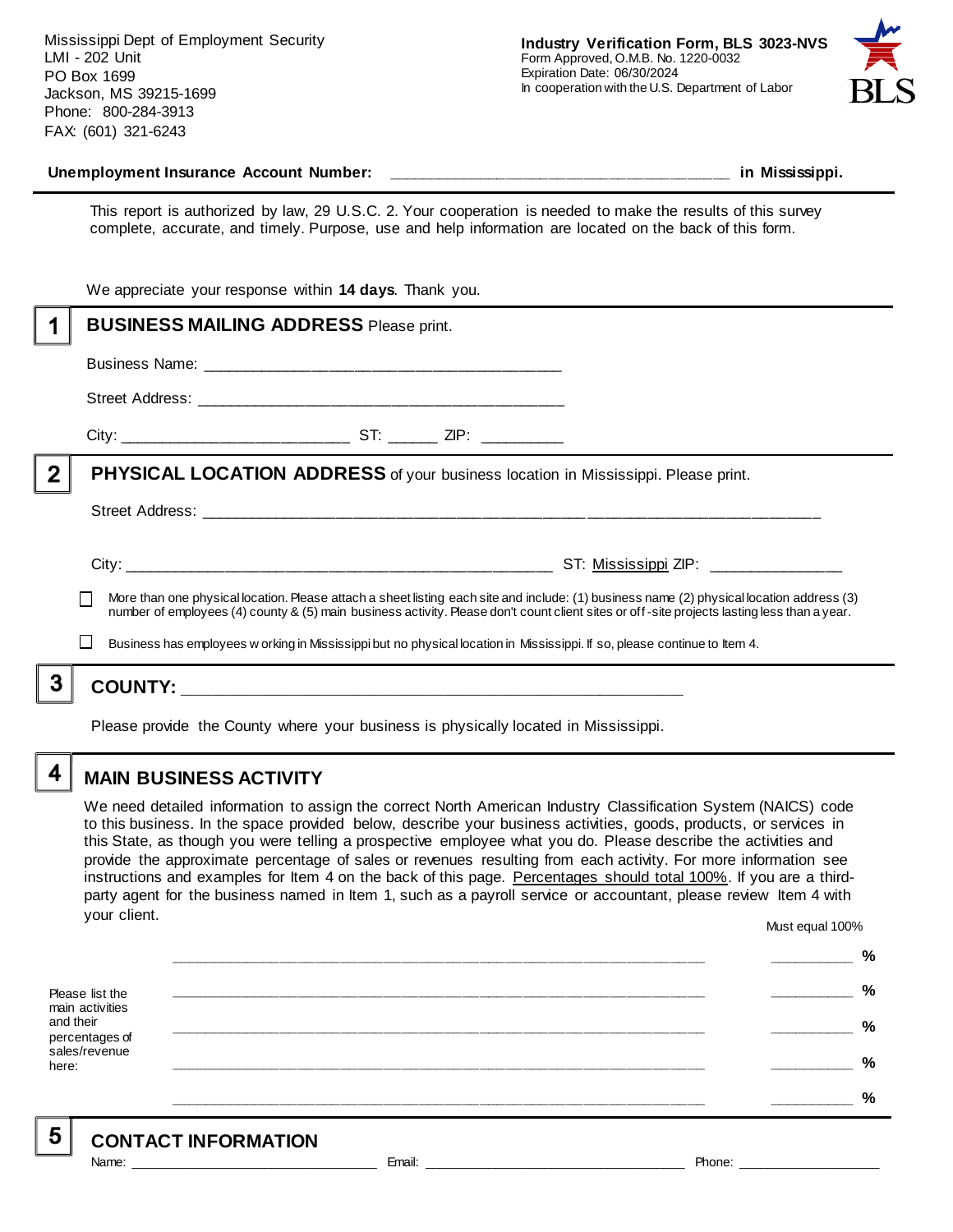Mississippi Dept of Employment Security LMI - 202 Unit PO Box 1699 Jackson, MS 39215-1699 Phone: 800-284-3913 FAX: (601) 321-6243



#### **Unemployment Insurance Account Number: \_\_\_\_\_\_\_\_\_\_\_\_\_\_\_\_\_\_\_\_\_\_\_\_\_\_\_\_\_\_\_\_\_\_\_\_\_\_\_\_ in Mississippi.**

This report is authorized by law, 29 U.S.C. 2. Your cooperation is needed to make the results of this survey complete, accurate, and timely. Purpose, use and help information are located on the back of this form.

|   | We appreciate your response within 14 days. Thank you. |                                                                                                                                                                                                                                                                                                                                                                                                                       |  |  |  |
|---|--------------------------------------------------------|-----------------------------------------------------------------------------------------------------------------------------------------------------------------------------------------------------------------------------------------------------------------------------------------------------------------------------------------------------------------------------------------------------------------------|--|--|--|
|   | <b>BUSINESS MAILING ADDRESS Please print.</b>          |                                                                                                                                                                                                                                                                                                                                                                                                                       |  |  |  |
|   |                                                        |                                                                                                                                                                                                                                                                                                                                                                                                                       |  |  |  |
|   |                                                        |                                                                                                                                                                                                                                                                                                                                                                                                                       |  |  |  |
|   |                                                        |                                                                                                                                                                                                                                                                                                                                                                                                                       |  |  |  |
| 2 |                                                        | <b>PHYSICAL LOCATION ADDRESS</b> of your business location in Mississippi. Please print.                                                                                                                                                                                                                                                                                                                              |  |  |  |
|   |                                                        |                                                                                                                                                                                                                                                                                                                                                                                                                       |  |  |  |
|   |                                                        | More than one physical location. Please attach a sheet listing each site and include: (1) business name (2) physical location address (3)<br>number of employees (4) county & (5) main business activity. Please don't count client sites or off-site projects lasting less than a year.<br>Business has employees w orking in Mississippi but no physical location in Mississippi. If so, please continue to Item 4. |  |  |  |
|   |                                                        |                                                                                                                                                                                                                                                                                                                                                                                                                       |  |  |  |
|   |                                                        |                                                                                                                                                                                                                                                                                                                                                                                                                       |  |  |  |

Please provide the County where your business is physically located in Mississippi.

4

5

### **MAIN BUSINESS ACTIVITY**

We need detailed information to assign the correct North American Industry Classification System (NAICS) code to this business. In the space provided below, describe your business activities, goods, products, or services in this State, as though you were telling a prospective employee what you do. Please describe the activities and provide the approximate percentage of sales or revenues resulting from each activity. For more information see instructions and examples for Item 4 on the back of this page. Percentages should total 100%. If you are a thirdparty agent for the business named in Item 1, such as a payroll service or accountant, please review Item 4 with your client. Must equal 100%

Please list the main activities and their percentages of sales/revenue here: **\_\_\_\_\_\_\_\_\_\_\_\_\_\_\_\_\_\_\_\_\_\_\_\_\_\_\_\_\_\_\_\_\_\_\_\_\_\_\_\_\_\_\_\_\_\_\_\_\_\_\_\_\_\_\_\_\_\_\_\_\_\_ \_\_\_\_\_\_\_\_\_\_ % \_\_\_\_\_\_\_\_\_\_\_\_\_\_\_\_\_\_\_\_\_\_\_\_\_\_\_\_\_\_\_\_\_\_\_\_\_\_\_\_\_\_\_\_\_\_\_\_\_\_\_\_\_\_\_\_\_\_\_\_\_\_ \_\_\_\_\_\_\_\_\_\_ % \_\_\_\_\_\_\_\_\_\_\_\_\_\_\_\_\_\_\_\_\_\_\_\_\_\_\_\_\_\_\_\_\_\_\_\_\_\_\_\_\_\_\_\_\_\_\_\_\_\_\_\_\_\_\_\_\_\_\_\_\_\_ \_\_\_\_\_\_\_\_\_\_ % \_\_\_\_\_\_\_\_\_\_\_\_\_\_\_\_\_\_\_\_\_\_\_\_\_\_\_\_\_\_\_\_\_\_\_\_\_\_\_\_\_\_\_\_\_\_\_\_\_\_\_\_\_\_\_\_\_\_\_\_\_\_ \_\_\_\_\_\_\_\_\_\_ % \_\_\_\_\_\_\_\_\_\_\_\_\_\_\_\_\_\_\_\_\_\_\_\_\_\_\_\_\_\_\_\_\_\_\_\_\_\_\_\_\_\_\_\_\_\_\_\_\_\_\_\_\_\_\_\_\_\_\_\_\_\_ \_\_\_\_\_\_\_\_\_\_ %**